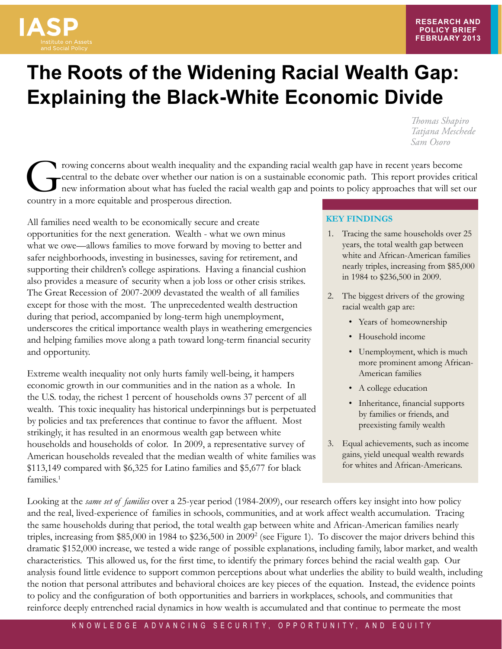# **The Roots of the Widening Racial Wealth Gap: Explaining the Black-White Economic Divide**

**RESEARCH AND SUPPORT OF THE SECOND AND RESEARCH AND RESEARCH AND RESEARCH AND SUPPORT OF THE SECOND AND SUPPORT OF THE SECOND AND SUPPORT OF THE SECOND AND SUPPORT OF THE SECOND AND SUPPORT OF THE SECOND AND SUPPORT OF TH** 

 *Thomas Shapiro Tatjana Meschede Sam Osoro*

**POLICY BRIEF FEBRUARY 2013**

**Correct Contrains about wealth inequality and the expanding racial wealth gap have in recent years become central to the debate over whether our nation is on a sustainable economic path. This report provides crite new inf** central to the debate over whether our nation is on a sustainable economic path. This report provides critical new information about what has fueled the racial wealth gap and points to policy approaches that will set our country in a more equitable and prosperous direction.

All families need wealth to be economically secure and create opportunities for the next generation. Wealth - what we own minus what we owe—allows families to move forward by moving to better and safer neighborhoods, investing in businesses, saving for retirement, and supporting their children's college aspirations. Having a financial cushion also provides a measure of security when a job loss or other crisis strikes. The Great Recession of 2007-2009 devastated the wealth of all families except for those with the most. The unprecedented wealth destruction during that period, accompanied by long-term high unemployment, underscores the critical importance wealth plays in weathering emergencies and helping families move along a path toward long-term financial security and opportunity.

d Social Policy

Extreme wealth inequality not only hurts family well-being, it hampers economic growth in our communities and in the nation as a whole. In the U.S. today, the richest 1 percent of households owns 37 percent of all wealth. This toxic inequality has historical underpinnings but is perpetuated by policies and tax preferences that continue to favor the affluent. Most strikingly, it has resulted in an enormous wealth gap between white households and households of color. In 2009, a representative survey of American households revealed that the median wealth of white families was \$113,149 compared with \$6,325 for Latino families and \$5,677 for black families.<sup>1</sup>

#### **KEY FINDINGS**

- 1. Tracing the same households over 25 years, the total wealth gap between white and African-American families nearly triples, increasing from \$85,000 in 1984 to \$236,500 in 2009.
- 2. The biggest drivers of the growing racial wealth gap are:
	- Years of homeownership
	- Household income
	- Unemployment, which is much more prominent among African-American families
	- A college education
	- Inheritance, financial supports by families or friends, and preexisting family wealth
- 3. Equal achievements, such as income gains, yield unequal wealth rewards for whites and African-Americans.

Looking at the *same set of families* over a 25-year period (1984-2009), our research offers key insight into how policy and the real, lived-experience of families in schools, communities, and at work affect wealth accumulation. Tracing the same households during that period, the total wealth gap between white and African-American families nearly triples, increasing from \$85,000 in 1984 to \$236,500 in 2009<sup>2</sup> (see Figure 1). To discover the major drivers behind this dramatic \$152,000 increase, we tested a wide range of possible explanations, including family, labor market, and wealth characteristics. This allowed us, for the first time, to identify the primary forces behind the racial wealth gap. Our analysis found little evidence to support common perceptions about what underlies the ability to build wealth, including the notion that personal attributes and behavioral choices are key pieces of the equation. Instead, the evidence points to policy and the configuration of both opportunities and barriers in workplaces, schools, and communities that reinforce deeply entrenched racial dynamics in how wealth is accumulated and that continue to permeate the most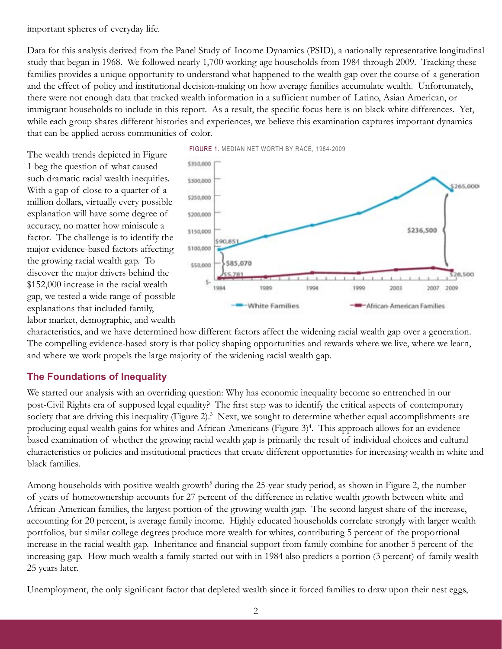important spheres of everyday life.

Data for this analysis derived from the Panel Study of Income Dynamics (PSID), a nationally representative longitudinal study that began in 1968. We followed nearly 1,700 working-age households from 1984 through 2009. Tracking these families provides a unique opportunity to understand what happened to the wealth gap over the course of a generation and the effect of policy and institutional decision-making on how average families accumulate wealth. Unfortunately, there were not enough data that tracked wealth information in a sufficient number of Latino, Asian American, or immigrant households to include in this report. As a result, the specific focus here is on black-white differences. Yet, while each group shares different histories and experiences, we believe this examination captures important dynamics that can be applied across communities of color.

The wealth trends depicted in Figure 1 beg the question of what caused such dramatic racial wealth inequities. With a gap of close to a quarter of a million dollars, virtually every possible explanation will have some degree of accuracy, no matter how miniscule a factor. The challenge is to identify the major evidence-based factors affecting the growing racial wealth gap. To discover the major drivers behind the \$152,000 increase in the racial wealth gap, we tested a wide range of possible explanations that included family, labor market, demographic, and wealth



characteristics, and we have determined how different factors affect the widening racial wealth gap over a generation. The compelling evidence-based story is that policy shaping opportunities and rewards where we live, where we learn, and where we work propels the large majority of the widening racial wealth gap.

## **The Foundations of Inequality**

We started our analysis with an overriding question: Why has economic inequality become so entrenched in our post-Civil Rights era of supposed legal equality? The first step was to identify the critical aspects of contemporary society that are driving this inequality (Figure 2).<sup>3</sup> Next, we sought to determine whether equal accomplishments are producing equal wealth gains for whites and African-Americans (Figure 3)<sup>4</sup>. This approach allows for an evidencebased examination of whether the growing racial wealth gap is primarily the result of individual choices and cultural characteristics or policies and institutional practices that create different opportunities for increasing wealth in white and black families.

Among households with positive wealth growth<sup>5</sup> during the 25-year study period, as shown in Figure 2, the number of years of homeownership accounts for 27 percent of the difference in relative wealth growth between white and African-American families, the largest portion of the growing wealth gap. The second largest share of the increase, accounting for 20 percent, is average family income. Highly educated households correlate strongly with larger wealth portfolios, but similar college degrees produce more wealth for whites, contributing 5 percent of the proportional increase in the racial wealth gap. Inheritance and financial support from family combine for another 5 percent of the increasing gap. How much wealth a family started out with in 1984 also predicts a portion (3 percent) of family wealth 25 years later.

Unemployment, the only significant factor that depleted wealth since it forced families to draw upon their nest eggs,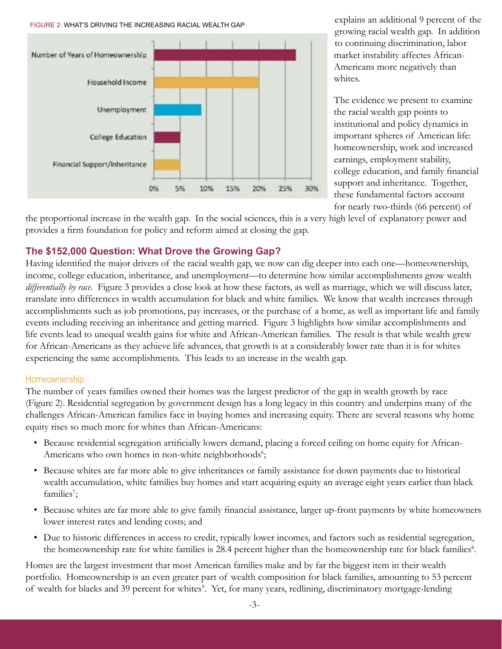FIGURE 2: WHAT'S DRIVING THE INCREASING RACIAL WEALTH GAP



explains an additional 9 percent of the growing racial wealth gap. In addition to continuing discrimination, labor market instability affectes African-Americans more negatively than whites.

The evidence we present to examine the racial wealth gap points to institutional and policy dynamics in important spheres of American life: homeownership, work and increased earnings, employment stability, college education, and family financial support and inheritance. Together, these fundamental factors account for nearly two-thirds (66 percent) of

the proportional increase in the wealth gap. In the social sciences, this is a very high level of explanatory power and provides a firm foundation for policy and reform aimed at closing the gap.

# **The \$152,000 Question: What Drove the Growing Gap?**

Having identified the major drivers of the racial wealth gap, we now can dig deeper into each one—homeownership, income, college education, inheritance, and unemployment—to determine how similar accomplishments grow wealth *differentially by race*. Figure 3 provides a close look at how these factors, as well as marriage, which we will discuss later, translate into differences in wealth accumulation for black and white families. We know that wealth increases through accomplishments such as job promotions, pay increases, or the purchase of a home, as well as important life and family events including receiving an inheritance and getting married. Figure 3 highlights how similar accomplishments and life events lead to unequal wealth gains for white and African-American families. The result is that while wealth grew for African-Americans as they achieve life advances, that growth is at a considerably lower rate than it is for whites experiencing the same accomplishments. This leads to an increase in the wealth gap.

## Homeownership

The number of years families owned their homes was the largest predictor of the gap in wealth growth by race (Figure 2). Residential segregation by government design has a long legacy in this country and underpins many of the challenges African-American families face in buying homes and increasing equity. There are several reasons why home equity rises so much more for whites than African-Americans:

- Because residential segregation artificially lowers demand, placing a forced ceiling on home equity for African-Americans who own homes in non-white neighborhoods<sup>6</sup>;
- Because whites are far more able to give inheritances or family assistance for down payments due to historical wealth accumulation, white families buy homes and start acquiring equity an average eight years earlier than black families<sup>7</sup>;
- Because whites are far more able to give family financial assistance, larger up-front payments by white homeowners lower interest rates and lending costs; and
- Due to historic differences in access to credit, typically lower incomes, and factors such as residential segregation, the homeownership rate for white families is 28.4 percent higher than the homeownership rate for black families<sup>8</sup>.

Homes are the largest investment that most American families make and by far the biggest item in their wealth portfolio. Homeownership is an even greater part of wealth composition for black families, amounting to 53 percent of wealth for blacks and 39 percent for whites<sup>9</sup>. Yet, for many years, redlining, discriminatory mortgage-lending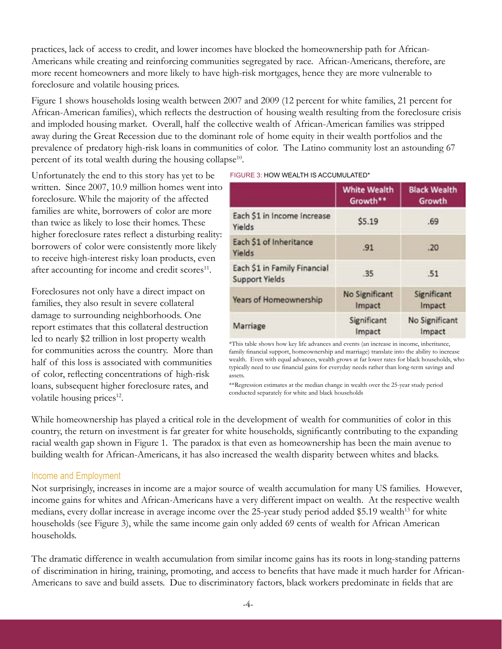practices, lack of access to credit, and lower incomes have blocked the homeownership path for African-Americans while creating and reinforcing communities segregated by race. African-Americans, therefore, are more recent homeowners and more likely to have high-risk mortgages, hence they are more vulnerable to foreclosure and volatile housing prices.

Figure 1 shows households losing wealth between 2007 and 2009 (12 percent for white families, 21 percent for African-American families), which reflects the destruction of housing wealth resulting from the foreclosure crisis and imploded housing market. Overall, half the collective wealth of African-American families was stripped away during the Great Recession due to the dominant role of home equity in their wealth portfolios and the prevalence of predatory high-risk loans in communities of color. The Latino community lost an astounding 67 percent of its total wealth during the housing collapse<sup>10</sup>.

Unfortunately the end to this story has yet to be written. Since 2007, 10.9 million homes went into foreclosure. While the majority of the affected families are white, borrowers of color are more than twice as likely to lose their homes. These higher foreclosure rates reflect a disturbing reality: borrowers of color were consistently more likely to receive high-interest risky loan products, even after accounting for income and credit scores<sup>11</sup>.

Foreclosures not only have a direct impact on families, they also result in severe collateral damage to surrounding neighborhoods. One report estimates that this collateral destruction led to nearly \$2 trillion in lost property wealth for communities across the country. More than half of this loss is associated with communities of color, reflecting concentrations of high-risk loans, subsequent higher foreclosure rates, and volatile housing prices<sup>12</sup>.

| FIGURE 3: HOW WEALTH IS ACCUMULATED* |  |
|--------------------------------------|--|
|--------------------------------------|--|

|                                                       | <b>White Wealth</b><br>Growth** | <b>Black Wealth</b><br>Growth |
|-------------------------------------------------------|---------------------------------|-------------------------------|
| Each \$1 in Income Increase<br>Yields                 | \$5.19                          | .69                           |
| Each \$1 of Inheritance<br>Yields                     | .91                             | .20                           |
| Each \$1 in Family Financial<br><b>Support Yields</b> | 35                              | 51                            |
| <b>Years of Homeownership</b>                         | No Significant<br>Impact        | Significant<br>Impact         |
| Marriage                                              | Significant<br>Impact           | No Significant<br>Impact      |

\*This table shows how key life advances and events (an increase in income, inheritance, family financial support, homeownership and marriage) translate into the ability to increase wealth. Even with equal advances, wealth grows at far lower rates for black households, who typically need to use financial gains for everyday needs rather than long-term savings and assets.

\*\*Regression estimates at the median change in wealth over the 25-year study period conducted separately for white and black households

While homeownership has played a critical role in the development of wealth for communities of color in this country, the return on investment is far greater for white households, significantly contributing to the expanding racial wealth gap shown in Figure 1. The paradox is that even as homeownership has been the main avenue to building wealth for African-Americans, it has also increased the wealth disparity between whites and blacks.

#### Income and Employment

Not surprisingly, increases in income are a major source of wealth accumulation for many US families. However, income gains for whites and African-Americans have a very different impact on wealth. At the respective wealth medians, every dollar increase in average income over the 25-year study period added \$5.19 wealth<sup>13</sup> for white households (see Figure 3), while the same income gain only added 69 cents of wealth for African American households.

The dramatic difference in wealth accumulation from similar income gains has its roots in long-standing patterns of discrimination in hiring, training, promoting, and access to benefits that have made it much harder for African-Americans to save and build assets. Due to discriminatory factors, black workers predominate in fields that are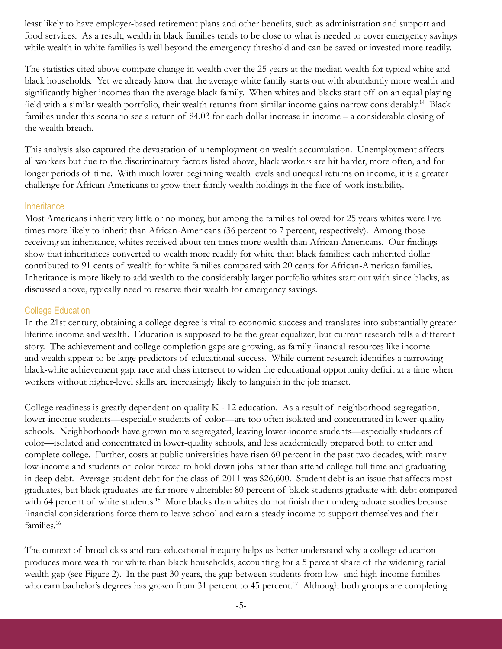least likely to have employer-based retirement plans and other benefits, such as administration and support and food services. As a result, wealth in black families tends to be close to what is needed to cover emergency savings while wealth in white families is well beyond the emergency threshold and can be saved or invested more readily.

The statistics cited above compare change in wealth over the 25 years at the median wealth for typical white and black households. Yet we already know that the average white family starts out with abundantly more wealth and significantly higher incomes than the average black family. When whites and blacks start off on an equal playing field with a similar wealth portfolio, their wealth returns from similar income gains narrow considerably.<sup>14</sup> Black families under this scenario see a return of \$4.03 for each dollar increase in income – a considerable closing of the wealth breach.

This analysis also captured the devastation of unemployment on wealth accumulation. Unemployment affects all workers but due to the discriminatory factors listed above, black workers are hit harder, more often, and for longer periods of time. With much lower beginning wealth levels and unequal returns on income, it is a greater challenge for African-Americans to grow their family wealth holdings in the face of work instability.

#### **Inheritance**

Most Americans inherit very little or no money, but among the families followed for 25 years whites were five times more likely to inherit than African-Americans (36 percent to 7 percent, respectively). Among those receiving an inheritance, whites received about ten times more wealth than African-Americans. Our findings show that inheritances converted to wealth more readily for white than black families: each inherited dollar contributed to 91 cents of wealth for white families compared with 20 cents for African-American families. Inheritance is more likely to add wealth to the considerably larger portfolio whites start out with since blacks, as discussed above, typically need to reserve their wealth for emergency savings.

#### College Education

In the 21st century, obtaining a college degree is vital to economic success and translates into substantially greater lifetime income and wealth. Education is supposed to be the great equalizer, but current research tells a different story. The achievement and college completion gaps are growing, as family financial resources like income and wealth appear to be large predictors of educational success. While current research identifies a narrowing black-white achievement gap, race and class intersect to widen the educational opportunity deficit at a time when workers without higher-level skills are increasingly likely to languish in the job market.

College readiness is greatly dependent on quality  $K - 12$  education. As a result of neighborhood segregation, lower-income students—especially students of color—are too often isolated and concentrated in lower-quality schools. Neighborhoods have grown more segregated, leaving lower-income students—especially students of color—isolated and concentrated in lower-quality schools, and less academically prepared both to enter and complete college. Further, costs at public universities have risen 60 percent in the past two decades, with many low-income and students of color forced to hold down jobs rather than attend college full time and graduating in deep debt. Average student debt for the class of 2011 was \$26,600. Student debt is an issue that affects most graduates, but black graduates are far more vulnerable: 80 percent of black students graduate with debt compared with 64 percent of white students.<sup>15</sup> More blacks than whites do not finish their undergraduate studies because financial considerations force them to leave school and earn a steady income to support themselves and their families.<sup>16</sup>

The context of broad class and race educational inequity helps us better understand why a college education produces more wealth for white than black households, accounting for a 5 percent share of the widening racial wealth gap (see Figure 2). In the past 30 years, the gap between students from low- and high-income families who earn bachelor's degrees has grown from 31 percent to 45 percent.<sup>17</sup> Although both groups are completing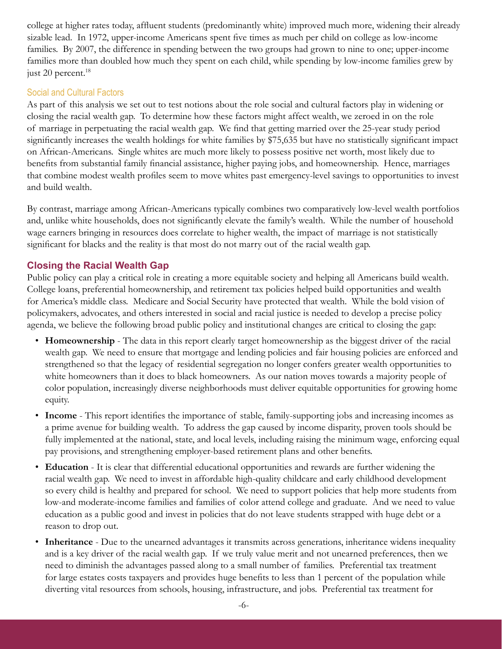college at higher rates today, affluent students (predominantly white) improved much more, widening their already sizable lead. In 1972, upper-income Americans spent five times as much per child on college as low-income families. By 2007, the difference in spending between the two groups had grown to nine to one; upper-income families more than doubled how much they spent on each child, while spending by low-income families grew by just 20 percent.<sup>18</sup>

### Social and Cultural Factors

As part of this analysis we set out to test notions about the role social and cultural factors play in widening or closing the racial wealth gap. To determine how these factors might affect wealth, we zeroed in on the role of marriage in perpetuating the racial wealth gap. We find that getting married over the 25-year study period significantly increases the wealth holdings for white families by \$75,635 but have no statistically significant impact on African-Americans. Single whites are much more likely to possess positive net worth, most likely due to benefits from substantial family financial assistance, higher paying jobs, and homeownership. Hence, marriages that combine modest wealth profiles seem to move whites past emergency-level savings to opportunities to invest and build wealth.

By contrast, marriage among African-Americans typically combines two comparatively low-level wealth portfolios and, unlike white households, does not significantly elevate the family's wealth. While the number of household wage earners bringing in resources does correlate to higher wealth, the impact of marriage is not statistically significant for blacks and the reality is that most do not marry out of the racial wealth gap.

# **Closing the Racial Wealth Gap**

Public policy can play a critical role in creating a more equitable society and helping all Americans build wealth. College loans, preferential homeownership, and retirement tax policies helped build opportunities and wealth for America's middle class. Medicare and Social Security have protected that wealth. While the bold vision of policymakers, advocates, and others interested in social and racial justice is needed to develop a precise policy agenda, we believe the following broad public policy and institutional changes are critical to closing the gap:

- **Homeownership** The data in this report clearly target homeownership as the biggest driver of the racial wealth gap. We need to ensure that mortgage and lending policies and fair housing policies are enforced and strengthened so that the legacy of residential segregation no longer confers greater wealth opportunities to white homeowners than it does to black homeowners. As our nation moves towards a majority people of color population, increasingly diverse neighborhoods must deliver equitable opportunities for growing home equity.
- **Income** This report identifies the importance of stable, family-supporting jobs and increasing incomes as a prime avenue for building wealth. To address the gap caused by income disparity, proven tools should be fully implemented at the national, state, and local levels, including raising the minimum wage, enforcing equal pay provisions, and strengthening employer-based retirement plans and other benefits.
- **Education** It is clear that differential educational opportunities and rewards are further widening the racial wealth gap. We need to invest in affordable high-quality childcare and early childhood development so every child is healthy and prepared for school. We need to support policies that help more students from low-and moderate-income families and families of color attend college and graduate. And we need to value education as a public good and invest in policies that do not leave students strapped with huge debt or a reason to drop out.
- **Inheritance** Due to the unearned advantages it transmits across generations, inheritance widens inequality and is a key driver of the racial wealth gap. If we truly value merit and not unearned preferences, then we need to diminish the advantages passed along to a small number of families. Preferential tax treatment for large estates costs taxpayers and provides huge benefits to less than 1 percent of the population while diverting vital resources from schools, housing, infrastructure, and jobs. Preferential tax treatment for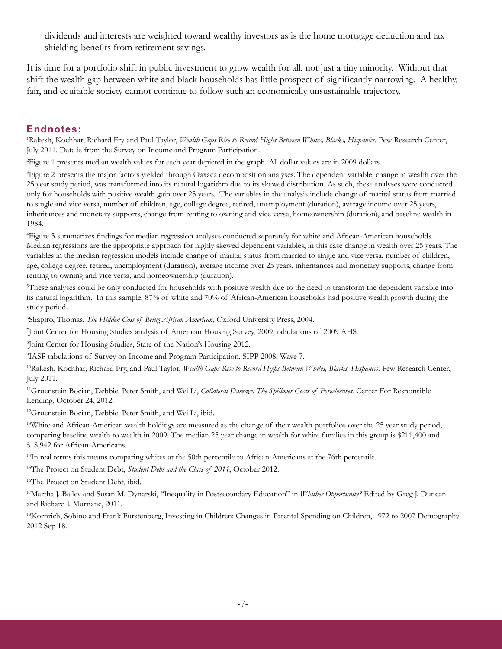dividends and interests are weighted toward wealthy investors as is the home mortgage deduction and tax shielding benefits from retirement savings.

It is time for a portfolio shift in public investment to grow wealth for all, not just a tiny minority. Without that shift the wealth gap between white and black households has little prospect of significantly narrowing. A healthy, fair, and equitable society cannot continue to follow such an economically unsustainable trajectory.

#### **Endnotes:**

<sup>1</sup>Rakesh, Kochhar, Richard Fry and Paul Taylor, *Wealth Gaps Rise to Record Highs Between Whites, Blacks, Hispanics*. Pew Research Center, July 2011. Data is from the Survey on Income and Program Participation.

2 Figure 1 presents median wealth values for each year depicted in the graph. All dollar values are in 2009 dollars.

3 Figure 2 presents the major factors yielded through Oaxaca decomposition analyses. The dependent variable, change in wealth over the 25 year study period, was transformed into its natural logarithm due to its skewed distribution. As such, these analyses were conducted only for households with positive wealth gain over 25 years. The variables in the analysis include change of marital status from married to single and vice versa, number of children, age, college degree, retired, unemployment (duration), average income over 25 years, inheritances and monetary supports, change from renting to owning and vice versa, homeownership (duration), and baseline wealth in 1984.

4 Figure 3 summarizes findings for median regression analyses conducted separately for white and African-American households. Median regressions are the appropriate approach for highly skewed dependent variables, in this case change in wealth over 25 years. The variables in the median regression models include change of marital status from married to single and vice versa, number of children, age, college degree, retired, unemployment (duration), average income over 25 years, inheritances and monetary supports, change from renting to owning and vice versa, and homeownership (duration).

<sup>5</sup>These analyses could be only conducted for households with positive wealth due to the need to transform the dependent variable into its natural logarithm. In this sample, 87% of white and 70% of African-American households had positive wealth growth during the study period.

6 Shapiro, Thomas, *The Hidden Cost of Being African American*, Oxford University Press, 2004.

7 Joint Center for Housing Studies analysis of American Housing Survey, 2009, tabulations of 2009 AHS.

8 Joint Center for Housing Studies, State of the Nation's Housing 2012.

9 IASP tabulations of Survey on Income and Program Participation, SIPP 2008, Wave 7.

10Rakesh, Kochhar, Richard Fry, and Paul Taylor, *Wealth Gaps Rise to Record Highs Between Whites, Blacks, Hispanics*. Pew Research Center, July 2011.

<sup>11</sup>Gruenstein Bocian, Debbie, Peter Smith, and Wei Li, *Collateral Damage: The Spillover Costs of Foreclosures.* Center For Responsible Lending, October 24, 2012.

<sup>12</sup>Gruenstein Bocian, Debbie, Peter Smith, and Wei Li, ibid.

<sup>13</sup>White and African-American wealth holdings are measured as the change of their wealth portfolios over the 25 year study period, comparing baseline wealth to wealth in 2009. The median 25 year change in wealth for white families in this group is \$211,400 and \$18,942 for African-Americans.

<sup>14</sup>In real terms this means comparing whites at the 50th percentile to African-Americans at the 76th percentile.

<sup>15</sup>The Project on Student Debt, *Student Debt and the Class of 2011*, October 2012.

<sup>16</sup>The Project on Student Debt, ibid.

<sup>17</sup>Martha J. Bailey and Susan M. Dynarski, "Inequality in Postsecondary Education" in *Whither Opportunity?* Edited by Greg J. Duncan and Richard J. Murnane, 2011.

18Kornrich, Sobino and Frank Furstenberg, Investing in Children: Changes in Parental Spending on Children, 1972 to 2007 Demography 2012 Sep 18.